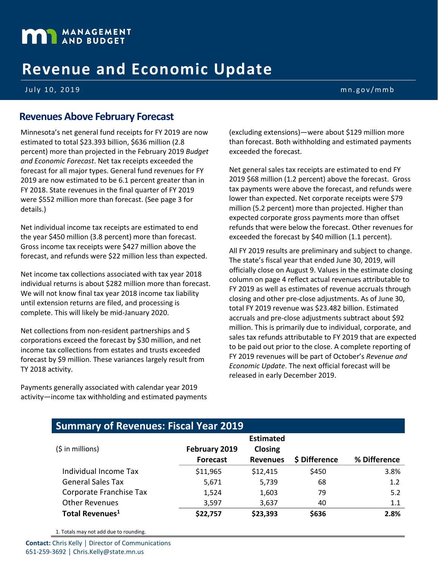# **MANAGEMENT**

## **Revenue and Economic Update**

July 10, 2019 mn.gov/mmb

#### **Revenues Above February Forecast**

Minnesota's net general fund receipts for FY 2019 are now estimated to total \$23.393 billion, \$636 million (2.8 percent) more than projected in the February 2019 *Budget and Economic Forecast*. Net tax receipts exceeded the forecast for all major types. General fund revenues for FY 2019 are now estimated to be 6.1 percent greater than in FY 2018. State revenues in the final quarter of FY 2019 were \$552 million more than forecast. (See page 3 for details.)

Net individual income tax receipts are estimated to end the year \$450 million (3.8 percent) more than forecast. Gross income tax receipts were \$427 million above the forecast, and refunds were \$22 million less than expected.

Net income tax collections associated with tax year 2018 individual returns is about \$282 million more than forecast. We will not know final tax year 2018 income tax liability until extension returns are filed, and processing is complete. This will likely be mid-January 2020.

Net collections from non-resident partnerships and S corporations exceed the forecast by \$30 million, and net income tax collections from estates and trusts exceeded forecast by \$9 million. These variances largely result from TY 2018 activity.

Payments generally associated with calendar year 2019 activity—income tax withholding and estimated payments (excluding extensions)—were about \$129 million more than forecast. Both withholding and estimated payments exceeded the forecast.

Net general sales tax receipts are estimated to end FY 2019 \$68 million (1.2 percent) above the forecast. Gross tax payments were above the forecast, and refunds were lower than expected. Net corporate receipts were \$79 million (5.2 percent) more than projected. Higher than expected corporate gross payments more than offset refunds that were below the forecast. Other revenues for exceeded the forecast by \$40 million (1.1 percent).

All FY 2019 results are preliminary and subject to change. The state's fiscal year that ended June 30, 2019, will officially close on August 9. Values in the estimate closing column on page 4 reflect actual revenues attributable to FY 2019 as well as estimates of revenue accruals through closing and other pre-close adjustments. As of June 30, total FY 2019 revenue was \$23.482 billion. Estimated accruals and pre-close adjustments subtract about \$92 million. This is primarily due to individual, corporate, and sales tax refunds attributable to FY 2019 that are expected to be paid out prior to the close. A complete reporting of FY 2019 revenues will be part of October's *Revenue and Economic Update*. The next official forecast will be released in early December 2019.

|  | <b>Summary of Revenues: Fiscal Year 2019</b> |
|--|----------------------------------------------|
|  |                                              |

| $(5$ in millions)           | February 2019<br><b>Forecast</b> | <b>Estimated</b><br><b>Closing</b><br><b>Revenues</b> | \$ Difference | % Difference |  |
|-----------------------------|----------------------------------|-------------------------------------------------------|---------------|--------------|--|
| Individual Income Tax       | \$11,965                         | \$12,415                                              | \$450         | 3.8%         |  |
| <b>General Sales Tax</b>    | 5,671                            | 5,739                                                 | 68            | 1.2          |  |
| Corporate Franchise Tax     | 1,524                            | 1,603                                                 | 79            | 5.2          |  |
| <b>Other Revenues</b>       | 3,597                            | 3,637                                                 | 40            | 1.1          |  |
| Total Revenues <sup>1</sup> | \$22,757                         | \$23,393                                              | \$636         | 2.8%         |  |

1. Totals may not add due to rounding.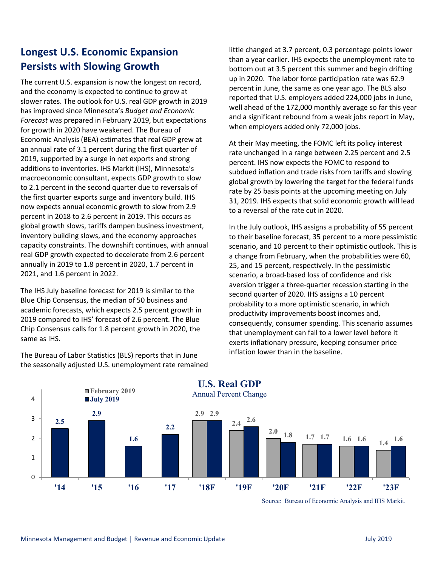### **Longest U.S. Economic Expansion Persists with Slowing Growth**

The current U.S. expansion is now the longest on record, and the economy is expected to continue to grow at slower rates. The outlook for U.S. real GDP growth in 2019 has improved since Minnesota's *Budget and Economic Forecast* was prepared in February 2019, but expectations for growth in 2020 have weakened. The Bureau of Economic Analysis (BEA) estimates that real GDP grew at an annual rate of 3.1 percent during the first quarter of 2019, supported by a surge in net exports and strong additions to inventories. IHS Markit (IHS), Minnesota's macroeconomic consultant, expects GDP growth to slow to 2.1 percent in the second quarter due to reversals of the first quarter exports surge and inventory build. IHS now expects annual economic growth to slow from 2.9 percent in 2018 to 2.6 percent in 2019. This occurs as global growth slows, tariffs dampen business investment, inventory building slows, and the economy approaches capacity constraints. The downshift continues, with annual real GDP growth expected to decelerate from 2.6 percent annually in 2019 to 1.8 percent in 2020, 1.7 percent in 2021, and 1.6 percent in 2022.

The IHS July baseline forecast for 2019 is similar to the Blue Chip Consensus, the median of 50 business and academic forecasts, which expects 2.5 percent growth in 2019 compared to IHS' forecast of 2.6 percent. The Blue Chip Consensus calls for 1.8 percent growth in 2020, the same as IHS.

The Bureau of Labor Statistics (BLS) reports that in June the seasonally adjusted U.S. unemployment rate remained little changed at 3.7 percent, 0.3 percentage points lower than a year earlier. IHS expects the unemployment rate to bottom out at 3.5 percent this summer and begin drifting up in 2020. The labor force participation rate was 62.9 percent in June, the same as one year ago. The BLS also reported that U.S. employers added 224,000 jobs in June, well ahead of the 172,000 monthly average so far this year and a significant rebound from a weak jobs report in May, when employers added only 72,000 jobs.

At their May meeting, the FOMC left its policy interest rate unchanged in a range between 2.25 percent and 2.5 percent. IHS now expects the FOMC to respond to subdued inflation and trade risks from tariffs and slowing global growth by lowering the target for the federal funds rate by 25 basis points at the upcoming meeting on July 31, 2019. IHS expects that solid economic growth will lead to a reversal of the rate cut in 2020.

In the July outlook, IHS assigns a probability of 55 percent to their baseline forecast, 35 percent to a more pessimistic scenario, and 10 percent to their optimistic outlook. This is a change from February, when the probabilities were 60, 25, and 15 percent, respectively. In the pessimistic scenario, a broad-based loss of confidence and risk aversion trigger a three-quarter recession starting in the second quarter of 2020. IHS assigns a 10 percent probability to a more optimistic scenario, in which productivity improvements boost incomes and, consequently, consumer spending. This scenario assumes that unemployment can fall to a lower level before it exerts inflationary pressure, keeping consumer price inflation lower than in the baseline.



Source: Bureau of Economic Analysis and IHS Markit.